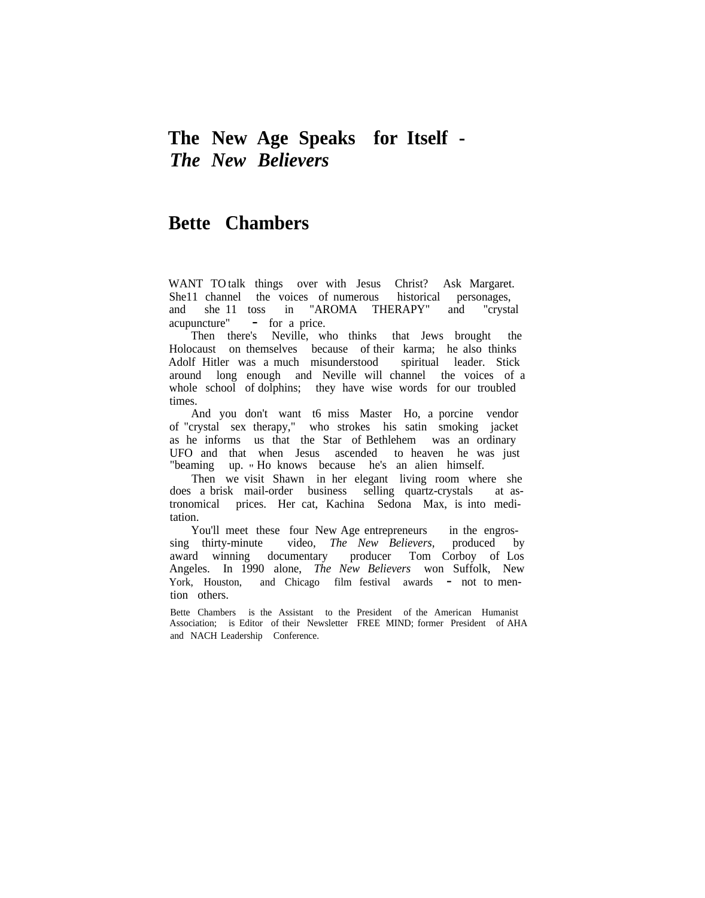## **The New Age Speaks for Itself -** *The New Believers*

## **Bette Chambers**

WANT TO talk things over with Jesus Christ? Ask Margaret. She11 channel the voices of numerous historical personages, and she 11 toss in "AROMA THERAPY" and "crystal acupuncture" - for <sup>a</sup> price.

Then there's Neville, who thinks that Jews brought the Holocaust on themselves because of their karma; he also thinks Adolf Hitler was a much misunderstood spiritual leader. Stick around long enough and Neville will channel the voices of a whole school of dolphins; they have wise words for our troubled times.

And you don't want t6 miss Master Ho, a porcine vendor of "crystal sex therapy," who strokes his satin smoking jacket as he informs us that the Star of Bethlehem was an ordinary UFO and that when Jesus ascended to heaven he was just "beaming up. " Ho knows because he's an alien himself.

Then we visit Shawn in her elegant living room where she does a brisk mail-order business selling quartz-crystals at astronomical prices. Her cat, Kachina Sedona Max, is into meditation.

You'll meet these four New Age entrepreneurs in the engrossing thirty-minute video, *The New Believers,* produced by award winning documentary producer Tom Corboy of Los Angeles. In 1990 alone, *The New Believers* won Suffolk, New York, Houston, and Chicago film festival awards - not to mention others.

Bette Chambers is the Assistant to the President of the American Humanist Association; is Editor of their Newsletter FREE MIND; former President of AHA and NACH Leadership Conference.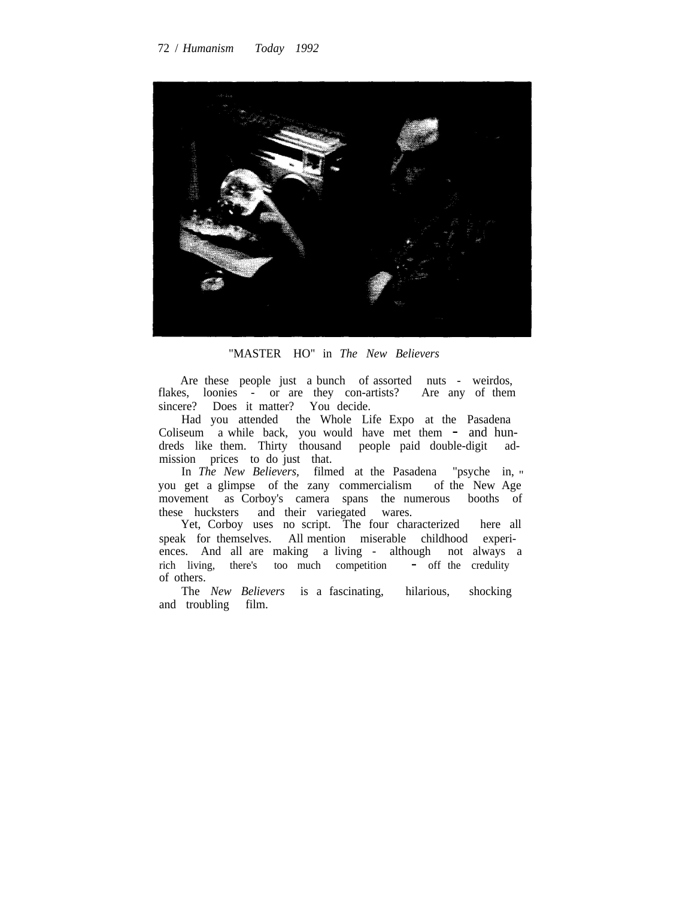

"MASTER HO" in *The New Believers*

Are these people just a bunch of assorted nuts - weirdos, flakes, loonies - or are they con-artists? Are any of them sincere? Does it matter? You decide.

Had you attended the Whole Life Expo at the Pasadena Coliseum a while back, you would have met them - and hun-<br>dreds like them. Thirty thousand people paid double-digit addreds like them. Thirty thousand people paid double-digit mission prices to do just that.

In *The New Believers,* filmed at the Pasadena "psyche in, " you get a glimpse of the zany commercialism of the New Age movement as Corboy's camera spans the numerous booths of these hucksters and their variegated wares.

Yet, Corboy uses no script. The four characterized here all speak for themselves. All mention miserable childhood experiences. And all are making a living - although not always a rich living, there's too much competition - off the credulity of others.

The *New Believers* is a fascinating, hilarious, shocking and troubling film.